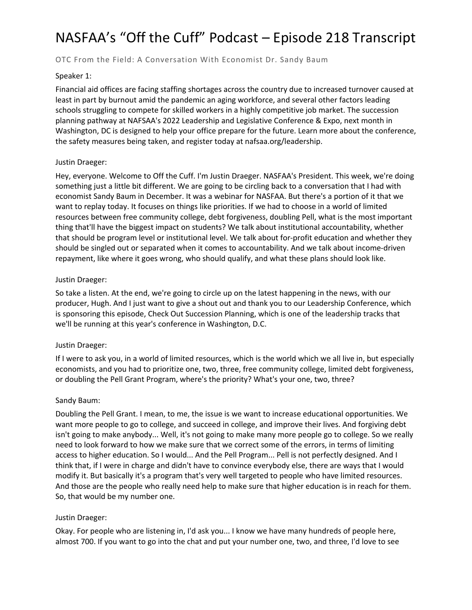# NASFAA's "Off the Cuff" Podcast – Episode 218 Transcript

## OTC From the Field: A Conversation With Economist Dr. Sandy Baum

#### Speaker 1:

Financial aid offices are facing staffing shortages across the country due to increased turnover caused at least in part by burnout amid the pandemic an aging workforce, and several other factors leading schools struggling to compete for skilled workers in a highly competitive job market. The succession planning pathway at NAFSAA's 2022 Leadership and Legislative Conference & Expo, next month in Washington, DC is designed to help your office prepare for the future. Learn more about the conference, the safety measures being taken, and register today at nafsaa.org/leadership.

#### Justin Draeger:

Hey, everyone. Welcome to Off the Cuff. I'm Justin Draeger. NASFAA's President. This week, we're doing something just a little bit different. We are going to be circling back to a conversation that I had with economist Sandy Baum in December. It was a webinar for NASFAA. But there's a portion of it that we want to replay today. It focuses on things like priorities. If we had to choose in a world of limited resources between free community college, debt forgiveness, doubling Pell, what is the most important thing that'll have the biggest impact on students? We talk about institutional accountability, whether that should be program level or institutional level. We talk about for-profit education and whether they should be singled out or separated when it comes to accountability. And we talk about income-driven repayment, like where it goes wrong, who should qualify, and what these plans should look like.

#### Justin Draeger:

So take a listen. At the end, we're going to circle up on the latest happening in the news, with our producer, Hugh. And I just want to give a shout out and thank you to our Leadership Conference, which is sponsoring this episode, Check Out Succession Planning, which is one of the leadership tracks that we'll be running at this year's conference in Washington, D.C.

## Justin Draeger:

If I were to ask you, in a world of limited resources, which is the world which we all live in, but especially economists, and you had to prioritize one, two, three, free community college, limited debt forgiveness, or doubling the Pell Grant Program, where's the priority? What's your one, two, three?

#### Sandy Baum:

Doubling the Pell Grant. I mean, to me, the issue is we want to increase educational opportunities. We want more people to go to college, and succeed in college, and improve their lives. And forgiving debt isn't going to make anybody... Well, it's not going to make many more people go to college. So we really need to look forward to how we make sure that we correct some of the errors, in terms of limiting access to higher education. So I would... And the Pell Program... Pell is not perfectly designed. And I think that, if I were in charge and didn't have to convince everybody else, there are ways that I would modify it. But basically it's a program that's very well targeted to people who have limited resources. And those are the people who really need help to make sure that higher education is in reach for them. So, that would be my number one.

#### Justin Draeger:

Okay. For people who are listening in, I'd ask you... I know we have many hundreds of people here, almost 700. If you want to go into the chat and put your number one, two, and three, I'd love to see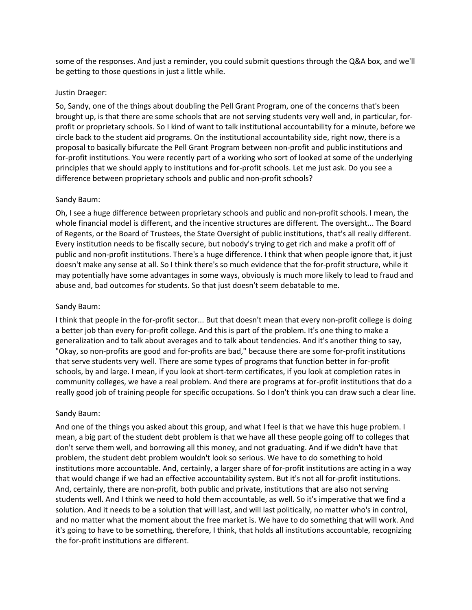some of the responses. And just a reminder, you could submit questions through the Q&A box, and we'll be getting to those questions in just a little while.

#### Justin Draeger:

So, Sandy, one of the things about doubling the Pell Grant Program, one of the concerns that's been brought up, is that there are some schools that are not serving students very well and, in particular, forprofit or proprietary schools. So I kind of want to talk institutional accountability for a minute, before we circle back to the student aid programs. On the institutional accountability side, right now, there is a proposal to basically bifurcate the Pell Grant Program between non-profit and public institutions and for-profit institutions. You were recently part of a working who sort of looked at some of the underlying principles that we should apply to institutions and for-profit schools. Let me just ask. Do you see a difference between proprietary schools and public and non-profit schools?

#### Sandy Baum:

Oh, I see a huge difference between proprietary schools and public and non-profit schools. I mean, the whole financial model is different, and the incentive structures are different. The oversight... The Board of Regents, or the Board of Trustees, the State Oversight of public institutions, that's all really different. Every institution needs to be fiscally secure, but nobody's trying to get rich and make a profit off of public and non-profit institutions. There's a huge difference. I think that when people ignore that, it just doesn't make any sense at all. So I think there's so much evidence that the for-profit structure, while it may potentially have some advantages in some ways, obviously is much more likely to lead to fraud and abuse and, bad outcomes for students. So that just doesn't seem debatable to me.

#### Sandy Baum:

I think that people in the for-profit sector... But that doesn't mean that every non-profit college is doing a better job than every for-profit college. And this is part of the problem. It's one thing to make a generalization and to talk about averages and to talk about tendencies. And it's another thing to say, "Okay, so non-profits are good and for-profits are bad," because there are some for-profit institutions that serve students very well. There are some types of programs that function better in for-profit schools, by and large. I mean, if you look at short-term certificates, if you look at completion rates in community colleges, we have a real problem. And there are programs at for-profit institutions that do a really good job of training people for specific occupations. So I don't think you can draw such a clear line.

#### Sandy Baum:

And one of the things you asked about this group, and what I feel is that we have this huge problem. I mean, a big part of the student debt problem is that we have all these people going off to colleges that don't serve them well, and borrowing all this money, and not graduating. And if we didn't have that problem, the student debt problem wouldn't look so serious. We have to do something to hold institutions more accountable. And, certainly, a larger share of for-profit institutions are acting in a way that would change if we had an effective accountability system. But it's not all for-profit institutions. And, certainly, there are non-profit, both public and private, institutions that are also not serving students well. And I think we need to hold them accountable, as well. So it's imperative that we find a solution. And it needs to be a solution that will last, and will last politically, no matter who's in control, and no matter what the moment about the free market is. We have to do something that will work. And it's going to have to be something, therefore, I think, that holds all institutions accountable, recognizing the for-profit institutions are different.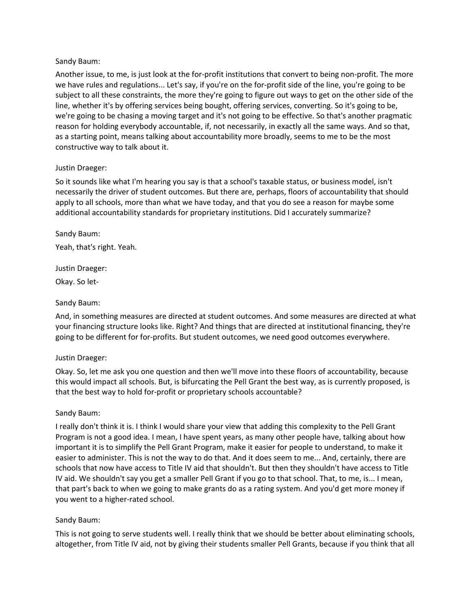## Sandy Baum:

Another issue, to me, is just look at the for-profit institutions that convert to being non-profit. The more we have rules and regulations... Let's say, if you're on the for-profit side of the line, you're going to be subject to all these constraints, the more they're going to figure out ways to get on the other side of the line, whether it's by offering services being bought, offering services, converting. So it's going to be, we're going to be chasing a moving target and it's not going to be effective. So that's another pragmatic reason for holding everybody accountable, if, not necessarily, in exactly all the same ways. And so that, as a starting point, means talking about accountability more broadly, seems to me to be the most constructive way to talk about it.

## Justin Draeger:

So it sounds like what I'm hearing you say is that a school's taxable status, or business model, isn't necessarily the driver of student outcomes. But there are, perhaps, floors of accountability that should apply to all schools, more than what we have today, and that you do see a reason for maybe some additional accountability standards for proprietary institutions. Did I accurately summarize?

Sandy Baum: Yeah, that's right. Yeah.

Justin Draeger: Okay. So let-

## Sandy Baum:

And, in something measures are directed at student outcomes. And some measures are directed at what your financing structure looks like. Right? And things that are directed at institutional financing, they're going to be different for for-profits. But student outcomes, we need good outcomes everywhere.

## Justin Draeger:

Okay. So, let me ask you one question and then we'll move into these floors of accountability, because this would impact all schools. But, is bifurcating the Pell Grant the best way, as is currently proposed, is that the best way to hold for-profit or proprietary schools accountable?

## Sandy Baum:

I really don't think it is. I think I would share your view that adding this complexity to the Pell Grant Program is not a good idea. I mean, I have spent years, as many other people have, talking about how important it is to simplify the Pell Grant Program, make it easier for people to understand, to make it easier to administer. This is not the way to do that. And it does seem to me... And, certainly, there are schools that now have access to Title IV aid that shouldn't. But then they shouldn't have access to Title IV aid. We shouldn't say you get a smaller Pell Grant if you go to that school. That, to me, is... I mean, that part's back to when we going to make grants do as a rating system. And you'd get more money if you went to a higher-rated school.

## Sandy Baum:

This is not going to serve students well. I really think that we should be better about eliminating schools, altogether, from Title IV aid, not by giving their students smaller Pell Grants, because if you think that all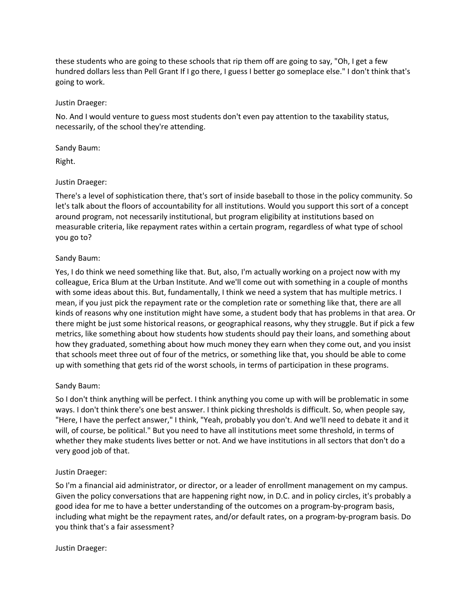these students who are going to these schools that rip them off are going to say, "Oh, I get a few hundred dollars less than Pell Grant If I go there, I guess I better go someplace else." I don't think that's going to work.

## Justin Draeger:

No. And I would venture to guess most students don't even pay attention to the taxability status, necessarily, of the school they're attending.

#### Sandy Baum:

Right.

## Justin Draeger:

There's a level of sophistication there, that's sort of inside baseball to those in the policy community. So let's talk about the floors of accountability for all institutions. Would you support this sort of a concept around program, not necessarily institutional, but program eligibility at institutions based on measurable criteria, like repayment rates within a certain program, regardless of what type of school you go to?

## Sandy Baum:

Yes, I do think we need something like that. But, also, I'm actually working on a project now with my colleague, Erica Blum at the Urban Institute. And we'll come out with something in a couple of months with some ideas about this. But, fundamentally, I think we need a system that has multiple metrics. I mean, if you just pick the repayment rate or the completion rate or something like that, there are all kinds of reasons why one institution might have some, a student body that has problems in that area. Or there might be just some historical reasons, or geographical reasons, why they struggle. But if pick a few metrics, like something about how students how students should pay their loans, and something about how they graduated, something about how much money they earn when they come out, and you insist that schools meet three out of four of the metrics, or something like that, you should be able to come up with something that gets rid of the worst schools, in terms of participation in these programs.

## Sandy Baum:

So I don't think anything will be perfect. I think anything you come up with will be problematic in some ways. I don't think there's one best answer. I think picking thresholds is difficult. So, when people say, "Here, I have the perfect answer," I think, "Yeah, probably you don't. And we'll need to debate it and it will, of course, be political." But you need to have all institutions meet some threshold, in terms of whether they make students lives better or not. And we have institutions in all sectors that don't do a very good job of that.

## Justin Draeger:

So I'm a financial aid administrator, or director, or a leader of enrollment management on my campus. Given the policy conversations that are happening right now, in D.C. and in policy circles, it's probably a good idea for me to have a better understanding of the outcomes on a program-by-program basis, including what might be the repayment rates, and/or default rates, on a program-by-program basis. Do you think that's a fair assessment?

## Justin Draeger: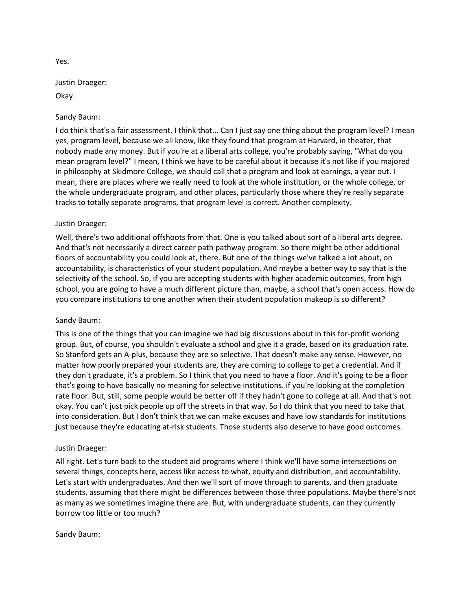## Justin Draeger:

Okay.

## Sandy Baum:

I do think that's a fair assessment. I think that... Can I just say one thing about the program level? I mean yes, program level, because we all know, like they found that program at Harvard, in theater, that nobody made any money. But if you're at a liberal arts college, you're probably saying, "What do you mean program level?" I mean, I think we have to be careful about it because it's not like if you majored in philosophy at Skidmore College, we should call that a program and look at earnings, a year out. I mean, there are places where we really need to look at the whole institution, or the whole college, or the whole undergraduate program, and other places, particularly those where they're really separate tracks to totally separate programs, that program level is correct. Another complexity.

## Justin Draeger:

Well, there's two additional offshoots from that. One is you talked about sort of a liberal arts degree. And that's not necessarily a direct career path pathway program. So there might be other additional floors of accountability you could look at, there. But one of the things we've talked a lot about, on accountability, is characteristics of your student population. And maybe a better way to say that is the selectivity of the school. So, if you are accepting students with higher academic outcomes, from high school, you are going to have a much different picture than, maybe, a school that's open access. How do you compare institutions to one another when their student population makeup is so different?

## Sandy Baum:

This is one of the things that you can imagine we had big discussions about in this for-profit working group. But, of course, you shouldn't evaluate a school and give it a grade, based on its graduation rate. So Stanford gets an A-plus, because they are so selective. That doesn't make any sense. However, no matter how poorly prepared your students are, they are coming to college to get a credential. And if they don't graduate, it's a problem. So I think that you need to have a floor. And it's going to be a floor that's going to have basically no meaning for selective institutions. if you're looking at the completion rate floor. But, still, some people would be better off if they hadn't gone to college at all. And that's not okay. You can't just pick people up off the streets in that way. So I do think that you need to take that into consideration. But I don't think that we can make excuses and have low standards for institutions just because they're educating at-risk students. Those students also deserve to have good outcomes.

## Justin Draeger:

All right. Let's turn back to the student aid programs where I think we'll have some intersections on several things, concepts here, access like access to what, equity and distribution, and accountability. Let's start with undergraduates. And then we'll sort of move through to parents, and then graduate students, assuming that there might be differences between those three populations. Maybe there's not as many as we sometimes imagine there are. But, with undergraduate students, can they currently borrow too little or too much?

## Sandy Baum:

Yes.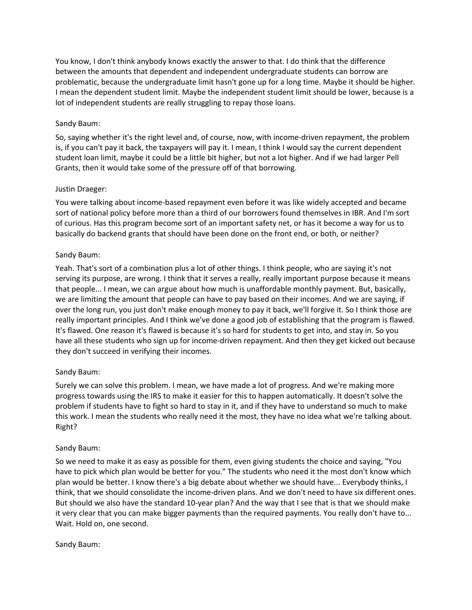You know, I don't think anybody knows exactly the answer to that. I do think that the difference between the amounts that dependent and independent undergraduate students can borrow are problematic, because the undergraduate limit hasn't gone up for a long time. Maybe it should be higher. I mean the dependent student limit. Maybe the independent student limit should be lower, because is a lot of independent students are really struggling to repay those loans.

#### Sandy Baum:

So, saying whether it's the right level and, of course, now, with income-driven repayment, the problem is, if you can't pay it back, the taxpayers will pay it. I mean, I think I would say the current dependent student loan limit, maybe it could be a little bit higher, but not a lot higher. And if we had larger Pell Grants, then it would take some of the pressure off of that borrowing.

#### Justin Draeger:

You were talking about income-based repayment even before it was like widely accepted and became sort of national policy before more than a third of our borrowers found themselves in IBR. And I'm sort of curious. Has this program become sort of an important safety net, or has it become a way for us to basically do backend grants that should have been done on the front end, or both, or neither?

#### Sandy Baum:

Yeah. That's sort of a combination plus a lot of other things. I think people, who are saying it's not serving its purpose, are wrong. I think that it serves a really, really important purpose because it means that people... I mean, we can argue about how much is unaffordable monthly payment. But, basically, we are limiting the amount that people can have to pay based on their incomes. And we are saying, if over the long run, you just don't make enough money to pay it back, we'll forgive it. So I think those are really important principles. And I think we've done a good job of establishing that the program is flawed. It's flawed. One reason it's flawed is because it's so hard for students to get into, and stay in. So you have all these students who sign up for income-driven repayment. And then they get kicked out because they don't succeed in verifying their incomes.

## Sandy Baum:

Surely we can solve this problem. I mean, we have made a lot of progress. And we're making more progress towards using the IRS to make it easier for this to happen automatically. It doesn't solve the problem if students have to fight so hard to stay in it, and if they have to understand so much to make this work. I mean the students who really need it the most, they have no idea what we're talking about. Right?

## Sandy Baum:

So we need to make it as easy as possible for them, even giving students the choice and saying, "You have to pick which plan would be better for you." The students who need it the most don't know which plan would be better. I know there's a big debate about whether we should have... Everybody thinks, I think, that we should consolidate the income-driven plans. And we don't need to have six different ones. But should we also have the standard 10-year plan? And the way that I see that is that we should make it very clear that you can make bigger payments than the required payments. You really don't have to... Wait. Hold on, one second.

#### Sandy Baum: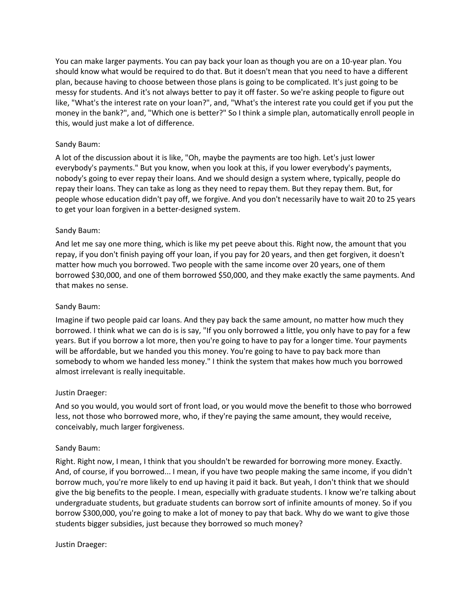You can make larger payments. You can pay back your loan as though you are on a 10-year plan. You should know what would be required to do that. But it doesn't mean that you need to have a different plan, because having to choose between those plans is going to be complicated. It's just going to be messy for students. And it's not always better to pay it off faster. So we're asking people to figure out like, "What's the interest rate on your loan?", and, "What's the interest rate you could get if you put the money in the bank?", and, "Which one is better?" So I think a simple plan, automatically enroll people in this, would just make a lot of difference.

## Sandy Baum:

A lot of the discussion about it is like, "Oh, maybe the payments are too high. Let's just lower everybody's payments." But you know, when you look at this, if you lower everybody's payments, nobody's going to ever repay their loans. And we should design a system where, typically, people do repay their loans. They can take as long as they need to repay them. But they repay them. But, for people whose education didn't pay off, we forgive. And you don't necessarily have to wait 20 to 25 years to get your loan forgiven in a better-designed system.

## Sandy Baum:

And let me say one more thing, which is like my pet peeve about this. Right now, the amount that you repay, if you don't finish paying off your loan, if you pay for 20 years, and then get forgiven, it doesn't matter how much you borrowed. Two people with the same income over 20 years, one of them borrowed \$30,000, and one of them borrowed \$50,000, and they make exactly the same payments. And that makes no sense.

## Sandy Baum:

Imagine if two people paid car loans. And they pay back the same amount, no matter how much they borrowed. I think what we can do is is say, "If you only borrowed a little, you only have to pay for a few years. But if you borrow a lot more, then you're going to have to pay for a longer time. Your payments will be affordable, but we handed you this money. You're going to have to pay back more than somebody to whom we handed less money." I think the system that makes how much you borrowed almost irrelevant is really inequitable.

## Justin Draeger:

And so you would, you would sort of front load, or you would move the benefit to those who borrowed less, not those who borrowed more, who, if they're paying the same amount, they would receive, conceivably, much larger forgiveness.

## Sandy Baum:

Right. Right now, I mean, I think that you shouldn't be rewarded for borrowing more money. Exactly. And, of course, if you borrowed... I mean, if you have two people making the same income, if you didn't borrow much, you're more likely to end up having it paid it back. But yeah, I don't think that we should give the big benefits to the people. I mean, especially with graduate students. I know we're talking about undergraduate students, but graduate students can borrow sort of infinite amounts of money. So if you borrow \$300,000, you're going to make a lot of money to pay that back. Why do we want to give those students bigger subsidies, just because they borrowed so much money?

## Justin Draeger: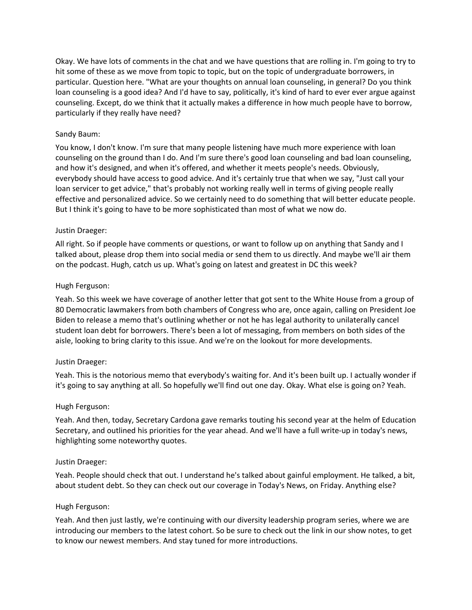Okay. We have lots of comments in the chat and we have questions that are rolling in. I'm going to try to hit some of these as we move from topic to topic, but on the topic of undergraduate borrowers, in particular. Question here. "What are your thoughts on annual loan counseling, in general? Do you think loan counseling is a good idea? And I'd have to say, politically, it's kind of hard to ever ever argue against counseling. Except, do we think that it actually makes a difference in how much people have to borrow, particularly if they really have need?

#### Sandy Baum:

You know, I don't know. I'm sure that many people listening have much more experience with loan counseling on the ground than I do. And I'm sure there's good loan counseling and bad loan counseling, and how it's designed, and when it's offered, and whether it meets people's needs. Obviously, everybody should have access to good advice. And it's certainly true that when we say, "Just call your loan servicer to get advice," that's probably not working really well in terms of giving people really effective and personalized advice. So we certainly need to do something that will better educate people. But I think it's going to have to be more sophisticated than most of what we now do.

#### Justin Draeger:

All right. So if people have comments or questions, or want to follow up on anything that Sandy and I talked about, please drop them into social media or send them to us directly. And maybe we'll air them on the podcast. Hugh, catch us up. What's going on latest and greatest in DC this week?

#### Hugh Ferguson:

Yeah. So this week we have coverage of another letter that got sent to the White House from a group of 80 Democratic lawmakers from both chambers of Congress who are, once again, calling on President Joe Biden to release a memo that's outlining whether or not he has legal authority to unilaterally cancel student loan debt for borrowers. There's been a lot of messaging, from members on both sides of the aisle, looking to bring clarity to this issue. And we're on the lookout for more developments.

#### Justin Draeger:

Yeah. This is the notorious memo that everybody's waiting for. And it's been built up. I actually wonder if it's going to say anything at all. So hopefully we'll find out one day. Okay. What else is going on? Yeah.

#### Hugh Ferguson:

Yeah. And then, today, Secretary Cardona gave remarks touting his second year at the helm of Education Secretary, and outlined his priorities for the year ahead. And we'll have a full write-up in today's news, highlighting some noteworthy quotes.

#### Justin Draeger:

Yeah. People should check that out. I understand he's talked about gainful employment. He talked, a bit, about student debt. So they can check out our coverage in Today's News, on Friday. Anything else?

#### Hugh Ferguson:

Yeah. And then just lastly, we're continuing with our diversity leadership program series, where we are introducing our members to the latest cohort. So be sure to check out the link in our show notes, to get to know our newest members. And stay tuned for more introductions.